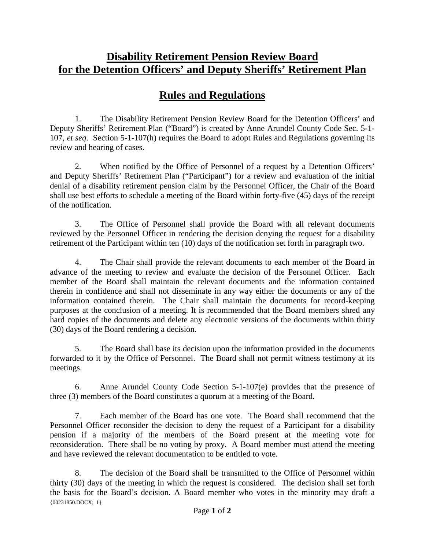## **Disability Retirement Pension Review Board for the Detention Officers' and Deputy Sheriffs' Retirement Plan**

## **Rules and Regulations**

1. The Disability Retirement Pension Review Board for the Detention Officers' and Deputy Sheriffs' Retirement Plan ("Board") is created by Anne Arundel County Code Sec. 5-1- 107, *et seq*. Section 5-1-107(h) requires the Board to adopt Rules and Regulations governing its review and hearing of cases.

2. When notified by the Office of Personnel of a request by a Detention Officers' and Deputy Sheriffs' Retirement Plan ("Participant") for a review and evaluation of the initial denial of a disability retirement pension claim by the Personnel Officer, the Chair of the Board shall use best efforts to schedule a meeting of the Board within forty-five (45) days of the receipt of the notification.

3. The Office of Personnel shall provide the Board with all relevant documents reviewed by the Personnel Officer in rendering the decision denying the request for a disability retirement of the Participant within ten (10) days of the notification set forth in paragraph two.

4. The Chair shall provide the relevant documents to each member of the Board in advance of the meeting to review and evaluate the decision of the Personnel Officer. Each member of the Board shall maintain the relevant documents and the information contained therein in confidence and shall not disseminate in any way either the documents or any of the information contained therein. The Chair shall maintain the documents for record-keeping purposes at the conclusion of a meeting. It is recommended that the Board members shred any hard copies of the documents and delete any electronic versions of the documents within thirty (30) days of the Board rendering a decision.

5. The Board shall base its decision upon the information provided in the documents forwarded to it by the Office of Personnel. The Board shall not permit witness testimony at its meetings.

6. Anne Arundel County Code Section 5-1-107(e) provides that the presence of three (3) members of the Board constitutes a quorum at a meeting of the Board.

7. Each member of the Board has one vote. The Board shall recommend that the Personnel Officer reconsider the decision to deny the request of a Participant for a disability pension if a majority of the members of the Board present at the meeting vote for reconsideration. There shall be no voting by proxy. A Board member must attend the meeting and have reviewed the relevant documentation to be entitled to vote.

{00231850.DOCX; 1} 8. The decision of the Board shall be transmitted to the Office of Personnel within thirty (30) days of the meeting in which the request is considered. The decision shall set forth the basis for the Board's decision. A Board member who votes in the minority may draft a